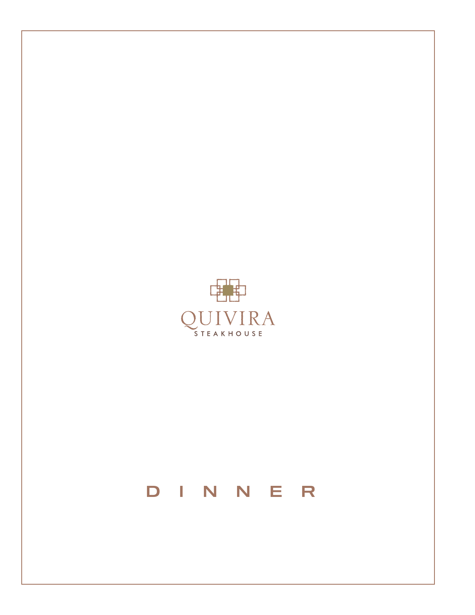

# D I N N E R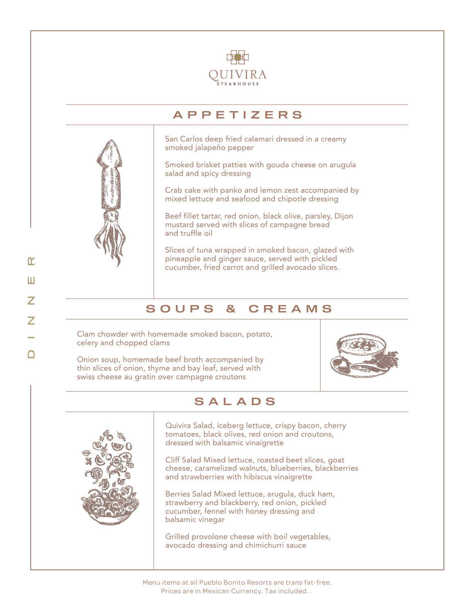

## APPETIZERS

San Carlos deep fried calamari dressed in a creamy smoked jalapeño pepper

Smoked brisket patties with gouda cheese on arugula salad and spicy dressing

Crab cake with panko and lemon zest accompanied by mixed lettuce and seafood and chipotle dressing

Beef fillet tartar, red onion, black olive, parsley, Dijon mustard served with slices of campagne bread and truffle oil

Slices of tuna wrapped in smoked bacon, glazed with pineapple and ginger sauce, served with pickled cucumber, fried carrot and grilled avocado slices.

#### SOUPS & CREAMS

Clam chowder with homemade smoked bacon, potato, celery and chopped clams

Onion soup, homemade beef broth accompanied by thin slices of onion, thyme and bay leaf, served with swiss cheese au gratin over campagne croutons

#### SALADS

Quivira Salad, iceberg lettuce, crispy bacon, cherry tomatoes, black olives, red onion and croutons, dressed with balsamic vinaigrette

Cliff Salad Mixed lettuce, roasted beet slices, goat cheese, caramelized walnuts, blueberries, blackberries and strawberries with hibiscus vinaigrette

Berries Salad Mixed lettuce, arugula, duck ham, strawberry and blackberry, red onion, pickled cucumber, fennel with honey dressing and balsamic vinegar

Grilled provolone cheese with boil vegetables, avocado dressing and chimichurri sauce

#### Menu items at all Pueblo Bonito Resorts are trans fat-free. Prices are in Mexican Currency. Tax included. .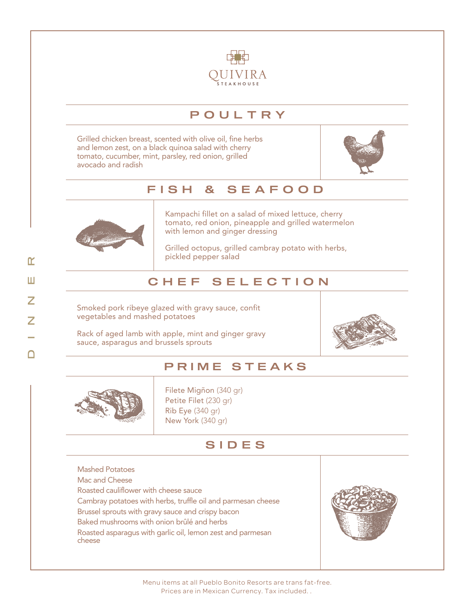

# POULTRY

Grilled chicken breast, scented with olive oil, fine herbs and lemon zest, on a black quinoa salad with cherry tomato, cucumber, mint, parsley, red onion, grilled avocado and radish



#### FISH & SEAFOOD



Kampachi fillet on a salad of mixed lettuce, cherry tomato, red onion, pineapple and grilled watermelon with lemon and ginger dressing

Grilled octopus, grilled cambray potato with herbs, pickled pepper salad

### CHEF SELECTION

Smoked pork ribeye glazed with gravy sauce, confit vegetables and mashed potatoes

Rack of aged lamb with apple, mint and ginger gravy sauce, asparagus and brussels sprouts



#### PRIME STEAKS



Filete Migñon (340 gr) Petite Filet (230 gr) Rib Eye (340 gr) New York (340 gr)

#### SIDES

Mashed Potatoes Mac and Cheese Roasted cauliflower with cheese sauce Cambray potatoes with herbs, truffle oil and parmesan cheese Brussel sprouts with gravy sauce and crispy bacon Baked mushrooms with onion brûlé and herbs Roasted asparagus with garlic oil, lemon zest and parmesan cheese